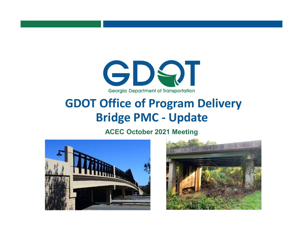

# GDOT Office of Program Delivery Bridge PMC - Update

ACEC October 2021 Meeting



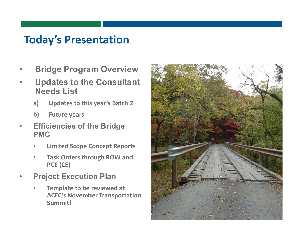## Today's Presentation

- **Bridge Program Overview**
- Updates to the Consultant Needs List
	- a) Updates to this year's Batch 2
	- b) Future years
- **Efficiencies of the Bridge** PMC
	- Limited Scope Concept Reports
	- Task Orders through ROW and PCE (CE)
- **Project Execution Plan** 
	- Template to be reviewed at ACEC's November Transportation Summit!

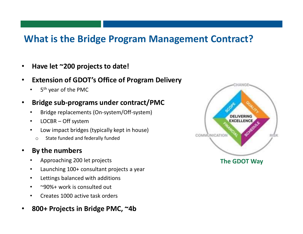### What is the Bridge Program Management Contract?

- Have let ~200 projects to date!
- **Extension of GDOT's Office of Program Delivery** 
	- 5<sup>th</sup> year of the PMC

### • Bridge sub-programs under contract/PMC

- Bridge replacements (On-system/Off-system)
- LOCBR Off system
- Low impact bridges (typically kept in house)
	- o State funded and federally funded

### By the numbers

- Approaching 200 let projects
- Launching 100+ consultant projects a year
- Lettings balanced with additions
- ~90%+ work is consulted out
- Creates 1000 active task orders
- 800+ Projects in Bridge PMC, ~4b

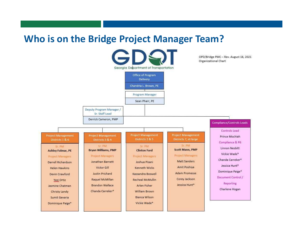### Who is on the Bridge Project Manager Team?

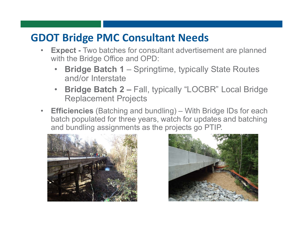## GDOT Bridge PMC Consultant Needs

- **Expect Two batches for consultant advertisement are planned** with the Bridge Office and OPD:
	- **Bridge Batch 1 Springtime, typically State Routes** and/or Interstate
	- Bridge Batch 2 Fall, typically "LOCBR" Local Bridge Replacement Projects
- **Efficiencies** (Batching and bundling) With Bridge IDs for each batch populated for three years, watch for updates and batching and bundling assignments as the projects go PTIP.



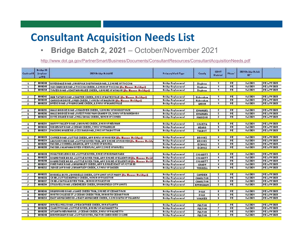## Consultant Acquisition Needs List

• Bridge Batch 2, 2021 – October/November 2021

http://www.dot.ga.gov/PartnerSmart/Business/Documents/ConsultantResources/ConsultantAcquisitionNeeds.pdf

| <b>Continued II</b> | <b>Deidge ID</b><br><b>Incelaur</b><br><b>WIPH</b> | 2021 Pridge Pulph 02                                                                 | Prinary Work Type         | <b>Concly</b>    | <b>GDOT</b><br><b>District</b> | Phase"    | 2021 Pridge Pulak<br>$12 -$ |                      |
|---------------------|----------------------------------------------------|--------------------------------------------------------------------------------------|---------------------------|------------------|--------------------------------|-----------|-----------------------------|----------------------|
| $\blacksquare$      | 1111241                                            | RIVERDALEROAD JI HORFOLK SOUTH RAILROAD, S.Z MI HE OF TOCCOA                         | <b>Deidge Replacement</b> | Slephenn         | л                              | PE.       | 0.12124                     | PE is FY 2025        |
| $\blacksquare$      | 8818245                                            | OLD CHURCH ROAD JI TOCCOA CREEK, S.2 MI N OF TOCCOA <b>THE Manage Defidue  </b>      | <b>Pridge Replacement</b> | Slephenn         | ÷                              | FE        | 9412121                     | PE is PY 2025        |
| СP.                 | 1111251                                            | TOWER ROAD JI EASTANONLLEE CREEK, 1.8 MINE OF AVALON <b>The Massac Defined</b>       | <b>Deidge Replacement</b> | Slephenn         | H.                             | ÞЕ.       | 0.12121                     | PE is 19 2025        |
|                     |                                                    |                                                                                      |                           |                  |                                |           |                             |                      |
| $\mathbf{r}$        | 1111242                                            | (HUD TATUM ROAD JISAUTEE CREEK, SMIS OF DATESVILLE <b>the Massac Design)</b>         | <b>Deidge Replacement</b> | Habeenbam        | и                              | PE.       | 0.12121                     | PE is PY 2025        |
| $\mathbf{r}$        | 1111245                                            | [GARRISON DRIVE JI HUD CREEK, 7.4 HISW OF PALOWIN <b>III. Because Definition</b>     | <b>Pridge Replacement</b> | <b>Habeenbam</b> | $\blacksquare$                 | PE.       | 0.12124                     | PEG-792825           |
| - 13                | 1111255                                            | <b>POTERS ROAD JI TOUNGCANE CREEK, 6.1 MIW OF DLAIRSVILLE.</b>                       | <b>Pridar Replacement</b> | <b>UMION</b>     | 4                              | PE.       | <b>Out 2124</b>             | PE is 79,2825        |
|                     |                                                    |                                                                                      |                           |                  |                                |           |                             |                      |
| л.                  | 1111235                                            | HALLS BRIDGE ROAD JI MULEPEN CREEK, 1.8 MI NY OF NORRISTOWN                          | <b>Peidge Replacement</b> | <b>EMANUEL</b>   | п.                             | PE.       | 0.12124                     | PE 16 PY 2025        |
| -91                 | 1118236                                            | <b> HALLSDRIDGEROAD JIWEST FORK YAM GRANDY CR. SMIN' OF SWAINSDORO</b>               | <b>Deidge Replacement</b> | <b>CHANUEL</b>   | Ŧ                              | PE.       | 9512124                     | PE 16 PM 2023        |
| <b>T</b>            | 1111245                                            | DOVE-DRAKE ROAD JI MILL SHOAL CREEK, 18 MI M OF COMER                                | <b>Pridar Replacement</b> | <b>MADISON</b>   | τ                              | FE        | 9412124                     | PE is 77 2021        |
|                     |                                                    |                                                                                      |                           |                  |                                |           |                             |                      |
| л.                  | 1111251                                            | HAPPY VALLEY ROAD JI DROWNS CREEK, SMIN OF NEWHAN                                    | <b>Deidge Replacement</b> | <b>COMETA</b>    | $\mathbf{A}$                   | <b>DE</b> | 0.12824                     | PE 16 PM 2025        |
| -41                 | 1111244                                            | <b>RIDGEWAY ROAD JI CEDAR CREEK, ? HIW OF FRAHKLIN.</b>                              | <b>Pridge Replacement</b> | HEARD            | т                              | PE.       | 0.12121                     | PE 12 PY 2023        |
| <b>The Second</b>   |                                                    | <b>BENEZSA   PACKING HOUSE RD JI CSX RAILROAD, 2 MIS OF TALBOTTON</b>                | Pridge Replacement        | <b>TALPOT</b>    | s.                             | PE.       | 0.12124                     | <b>PE is 74 2025</b> |
|                     |                                                    |                                                                                      |                           |                  |                                |           |                             |                      |
| -11                 | 1111225                                            | COFFEE ROAD JILITTLE CREEK, APP \$ HIW OF HORVEH THE BUSINE BUILDED                  | <b>Pridge Replacement</b> | <b>DROOKS</b>    | 4                              | PE.       | 0.12824                     | <b>PE is 79 2025</b> |
| -51                 | 1111224                                            | LAWSON POND ROAD JI LITTLE RIVER TRID, APP 9 MINE ON MORVEN <b>No. Moore ID-28.</b>  | <b>Pridge Replacement</b> | <b>DROOKS</b>    | т                              | Ŧ         | 0.12124                     | PE is 79,2825        |
| $\mathbf{S}$        | 8848252                                            | <b>FRASSEL LI COMMELL DRAMCH, APP 1.5 MI E OF HOWELL</b>                             | <b>Deidae Replacement</b> | <b>ECHOLS</b>    | 4.                             | PE.       | 0.12124                     | PE 16 PM 2825        |
| $\mathbf{S}$        | 1141255                                            | FASSEEJ ALAPAHA RIVER OVERFLOW, APP 2.5 MI E OF HOWELL                               | <b>Deilge Replacement</b> | <b>ECHOLS</b>    | Ŧ                              | ÞE.       | $9 - 12121$                 | PE 16 PM 2825        |
|                     |                                                    |                                                                                      |                           |                  |                                |           |                             |                      |
| л.,                 | 1111221                                            | HOULTRIE LENOX RD JI LITTLE RIVER, SMI E OF NORMAN PARK                              | <b>Pridge Replacement</b> | <b>COLOUITT</b>  | 4                              | PE.       | 0.12824                     | PE IS PY 2025        |
| $\mathbf{r}$        | 8848225                                            | ROUNDTREE DR RD JILITTLE RIVER TRID, APP S MINE OF ELLENTON <b>II. Manner Be</b> sid | <b>Pridge Replacement</b> | <b>COLOMITT</b>  | 4                              | PE        | 0.12121                     | PE 16 PY 2025        |
| к.                  | 1115251                                            | ROUNDTREE OR RD JI LITTLE RIVER TRIO, APP 3 MI NE OF ELLENTON <b>the Market Deck</b> | <b>Peidae Replacement</b> | COLOMITT         | 4                              | PE        | 0.12824                     | PE 16 PM 2825        |
| л.                  | 1111244                                            | PIHE PARK ROAD &  DRUMDLEY CREEK, APP 9.9 MILES EAST OF JCT SR 99                    | <b>Deidge Replacement</b> | <b>GRADY</b>     | 4                              | PE.       | 0.12124                     | PE 16 PY 2025        |
| $\mathbf{r}$        | 1118252                                            | JUDGE LAY ROAD JI DRAHTLEY CREEK, 1.7 MIW OF SASSER.                                 | <b>Pridge Replacement</b> | TERRELL          | 4.                             | PE.       | 9412124                     | PE is 74,2025        |
|                     |                                                    |                                                                                      |                           |                  |                                |           |                             |                      |
| 1911                | 1111225                                            | DORRELL DLVD JI DORRELLS CREEK, CITY LIMIT OF ST MARY He Henne Defined               | <b>Peidge Replacement</b> | <b>CAMDEN</b>    | -51                            | PE.       | 0.12824                     | PE is 79 2025        |
| $\mathbf{r}$        | 1111226                                            | CR BEJILITTLE DUFFALO CREEK, 14 MIN OF FOLKSTON.                                     | <b>Deidge Replacement</b> | <b>CHARLTON</b>  | τ                              | PE.       | 9512124                     | PE 12 PM 2020        |
| $\mathcal{F}$       | 1111227                                            | <b>CR BOJI SATILLA RIVER TRID., 18 MI M OF FOLKSTOM</b>                              | <b>Pridge Replacement</b> | <b>CHARLTON</b>  | s.                             | PE.       | 0.12824                     | PE is TY 2025        |
| 59.                 | 1111254                                            | <b>STILLWELL ROAD JI EDENEZER CREEK, SPRINGFIELD CITY LIMITS:</b>                    | Pridge Replacement        | <b>EFFINGHAM</b> | ×.                             | <b>DE</b> | 0.12121                     | PE is 19 2025        |
|                     |                                                    |                                                                                      |                           |                  |                                |           |                             |                      |
| л.                  | 1111245                                            | <b>DRUMMOND ROAD JILAKE CREEK TRID, SMINE OF CEDARTOWN</b>                           | <b>Pridge Replacement</b> | <b>POLK</b>      | F.                             | PЕ        | 0.12824                     | PE 1679 2025         |
| л.                  | 1111247                                            | <b>HORTH COLLEGE ST JI CEDAR CREEK TRID, IN HORTH CEDARTOWN</b>                      | <b>Pridge Replacement</b> | <b>POLK</b>      | Ŧ                              | PE        | 0.12121                     | PE 16 PY 2025        |
| T.                  | 1111254                                            | <b> EASTARMUCHEERD.IEASTARMUCHEECREEK,4.5MISOUTH OPVILLANOW</b>                      | <b>Pridar Replacement</b> | WALKER           | Ŧ.                             | PE        | 0.12121                     | PE is PY 2825        |
|                     |                                                    |                                                                                      |                           |                  |                                |           |                             |                      |
| ч.                  | 8848237                                            | <b>INOWELL MILL ROAD JIPEACHTREE CREEK, IMMATLAMTA</b>                               | <b>Deidge Replacement</b> | <b>FULTON</b>    | $\mathbf{r}$                   | PE.       | 0.12121                     | PE 16 PM 2025        |
| -11                 | 1111231                                            | <b>CLARITY ROAD JILITTLE RIVER, I MI MY OF ALPHARETTA</b>                            | <b>Deilge Replacement</b> | <b>PULTON</b>    | $\mathbf{r}$                   | PE.       | 9512121                     | PE 12 PY 2023        |
| л.                  | 1118235                                            | ATLANTA NEWHAN RD. JI CEDAR CREEK, 3 MIW OF PALMETTO                                 | <b>Pridge Replacement</b> | <b>PULTON</b>    | т.                             | PE.       | 9.12121                     | PE is 19,2025        |
| л.                  | 1111241                                            | <b>SERMINGHAM ROAD JELITTLE RIVER, FULTON CHEROKEE COLINE</b>                        | <b>Pridar Replacement</b> | <b>FULTON</b>    | т.                             | PE        | 0.12121                     | PE 16 PY 2025        |
|                     |                                                    |                                                                                      |                           |                  |                                |           |                             |                      |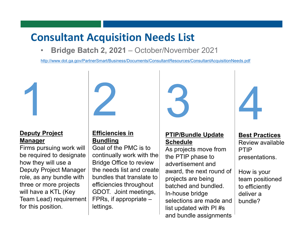# Consultant Acquisition Needs List

• Bridge Batch 2, 2021 – October/November 2021

http://www.dot.ga.gov/PartnerSmart/Business/Documents/ConsultantResources/ConsultantAcquisitionNeeds.pdf



#### Deputy Project Manager

Firms pursuing work will be required to designate how they will use a Deputy Project Manager role, as any bundle with three or more projects will have a KTL (Key Team Lead) requirement for this position.



#### Efficiencies in **Bundling**

Goal of the PMC is to continually work with the Bridge Office to review the needs list and create bundles that translate to efficiencies throughout GDOT. Joint meetings, FPRs, if appropriate – lettings.



### PTIP/Bundle Update **Schedule**

As projects move from the PTIP phase to advertisement and award, the next round of projects are being batched and bundled. In-house bridge selections are made and list updated with PI #s and bundle assignments



### Best Practices

Review available PTIP presentations.

How is your team positioned to efficiently deliver a bundle?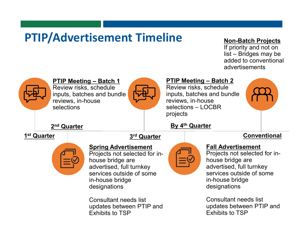# PTIP/Advertisement Timeline

### Non-Batch Projects

If priority and not on list – Bridges may be added to conventional advertisements

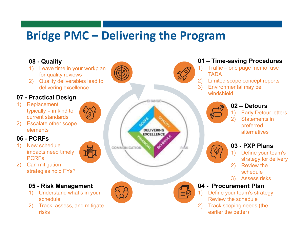# Bridge PMC – Delivering the Program

### 08 - Quality

- 1) Leave time in your workplan for quality reviews
- 2) Quality deliverables lead to delivering excellence

#### 07 - Practical Design

1) Replacement typically = in kind to current standards



### 06 - PCRFs

- 1) New schedule impacts need timely PCRFs
- 2) Can mitigation strategies hold FYs?

#### 05 - Risk Management

- 1) Understand what's in your schedule
- 2) Track, assess, and mitigate risks